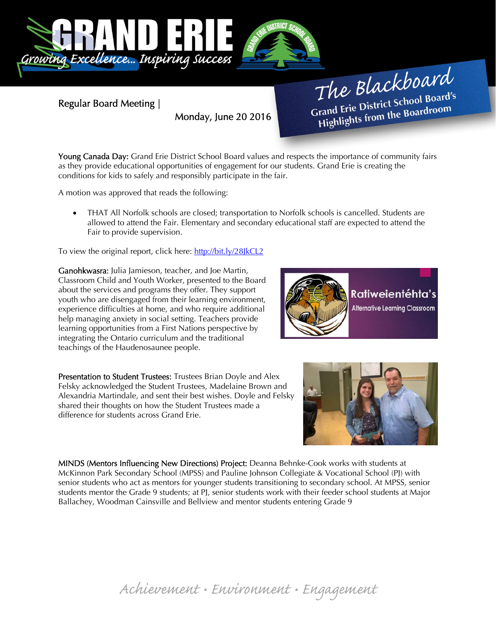

Regular Board Meeting |

Monday, June 20 2016

The Blackboard The Burnor<br>Grand Erie District School Board's<br>Little from the Boardroom rand Erie District School Board<br>Highlights from the Boardroom

Young Canada Day: Grand Erie District School Board values and respects the importance of community fairs as they provide educational opportunities of engagement for our students. Grand Erie is creating the conditions for kids to safely and responsibly participate in the fair.

A motion was approved that reads the following:

 THAT All Norfolk schools are closed; transportation to Norfolk schools is cancelled. Students are allowed to attend the Fair. Elementary and secondary educational staff are expected to attend the Fair to provide supervision.

To view the original report, click here: http://bit.ly/28JkCL2

Ganohkwasra: Julia Jamieson, teacher, and Joe Martin, Classroom Child and Youth Worker, presented to the Board about the services and programs they offer. They support youth who are disengaged from their learning environment, experience difficulties at home, and who require additional help managing anxiety in social setting. Teachers provide learning opportunities from a First Nations perspective by integrating the Ontario curriculum and the traditional teachings of the Haudenosaunee people.

Presentation to Student Trustees: Trustees Brian Doyle and Alex Felsky acknowledged the Student Trustees, Madelaine Brown and Alexandria Martindale, and sent their best wishes. Doyle and Felsky shared their thoughts on how the Student Trustees made a difference for students across Grand Erie.





MINDS (Mentors Influencing New Directions) Project: Deanna Behnke-Cook works with students at McKinnon Park Secondary School (MPSS) and Pauline Johnson Collegiate & Vocational School (PJ) with senior students who act as mentors for younger students transitioning to secondary school. At MPSS, senior students mentor the Grade 9 students; at PJ, senior students work with their feeder school students at Major Ballachey, Woodman Cainsville and Bellview and mentor students entering Grade 9

Achievement • Environment • Engagement